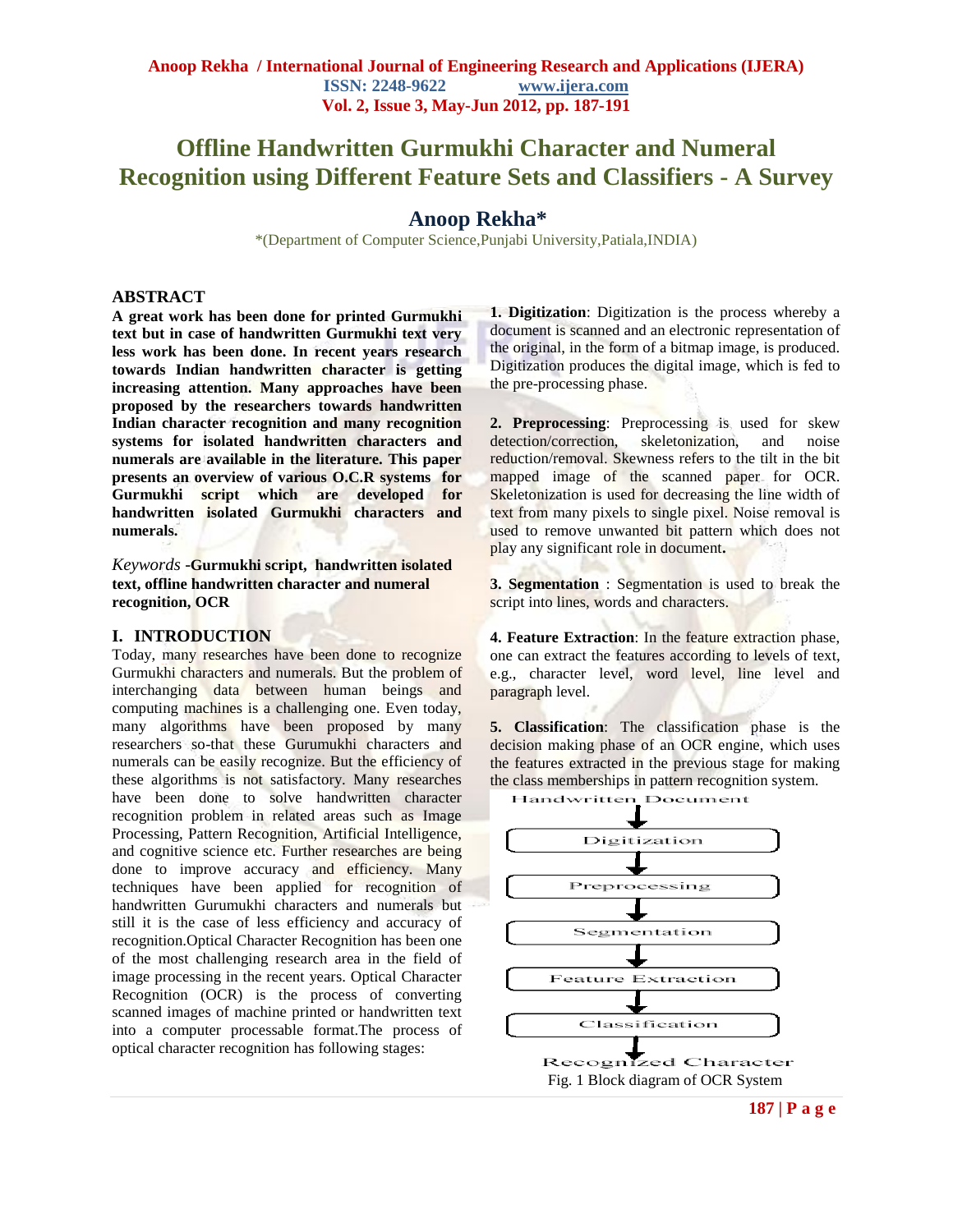# **Offline Handwritten Gurmukhi Character and Numeral Recognition using Different Feature Sets and Classifiers - A Survey**

# **Anoop Rekha\***

\*(Department of Computer Science,Punjabi University,Patiala,INDIA)

#### **ABSTRACT**

**A great work has been done for printed Gurmukhi text but in case of handwritten Gurmukhi text very less work has been done. In recent years research towards Indian handwritten character is getting increasing attention. Many approaches have been proposed by the researchers towards handwritten Indian character recognition and many recognition systems for isolated handwritten characters and numerals are available in the literature. This paper presents an overview of various O.C.R systems for Gurmukhi script which are developed for handwritten isolated Gurmukhi characters and numerals.**

*Keywords* -**Gurmukhi script, handwritten isolated text, offline handwritten character and numeral recognition, OCR**

#### **I. INTRODUCTION**

Today, many researches have been done to recognize Gurmukhi characters and numerals. But the problem of interchanging data between human beings and computing machines is a challenging one. Even today, many algorithms have been proposed by many researchers so-that these Gurumukhi characters and numerals can be easily recognize. But the efficiency of these algorithms is not satisfactory. Many researches have been done to solve handwritten character recognition problem in related areas such as Image Processing, Pattern Recognition, Artificial Intelligence, and cognitive science etc. Further researches are being done to improve accuracy and efficiency. Many techniques have been applied for recognition of handwritten Gurumukhi characters and numerals but still it is the case of less efficiency and accuracy of recognition.Optical Character Recognition has been one of the most challenging research area in the field of image processing in the recent years. Optical Character Recognition (OCR) is the process of converting scanned images of machine printed or handwritten text into a computer processable format.The process of optical character recognition has following stages:

**1. Digitization**: Digitization is the process whereby a document is scanned and an electronic representation of the original, in the form of a bitmap image, is produced. Digitization produces the digital image, which is fed to the pre-processing phase.

**2. Preprocessing**: Preprocessing is used for skew detection/correction, skeletonization, and noise reduction/removal. Skewness refers to the tilt in the bit mapped image of the scanned paper for OCR. Skeletonization is used for decreasing the line width of text from many pixels to single pixel. Noise removal is used to remove unwanted bit pattern which does not play any significant role in document**.**

**3. Segmentation** : Segmentation is used to break the script into lines, words and characters.

**4. Feature Extraction**: In the feature extraction phase, one can extract the features according to levels of text, e.g., character level, word level, line level and paragraph level.

**5. Classification**: The classification phase is the decision making phase of an OCR engine, which uses the features extracted in the previous stage for making the class memberships in pattern recognition system.

Handwritten Document

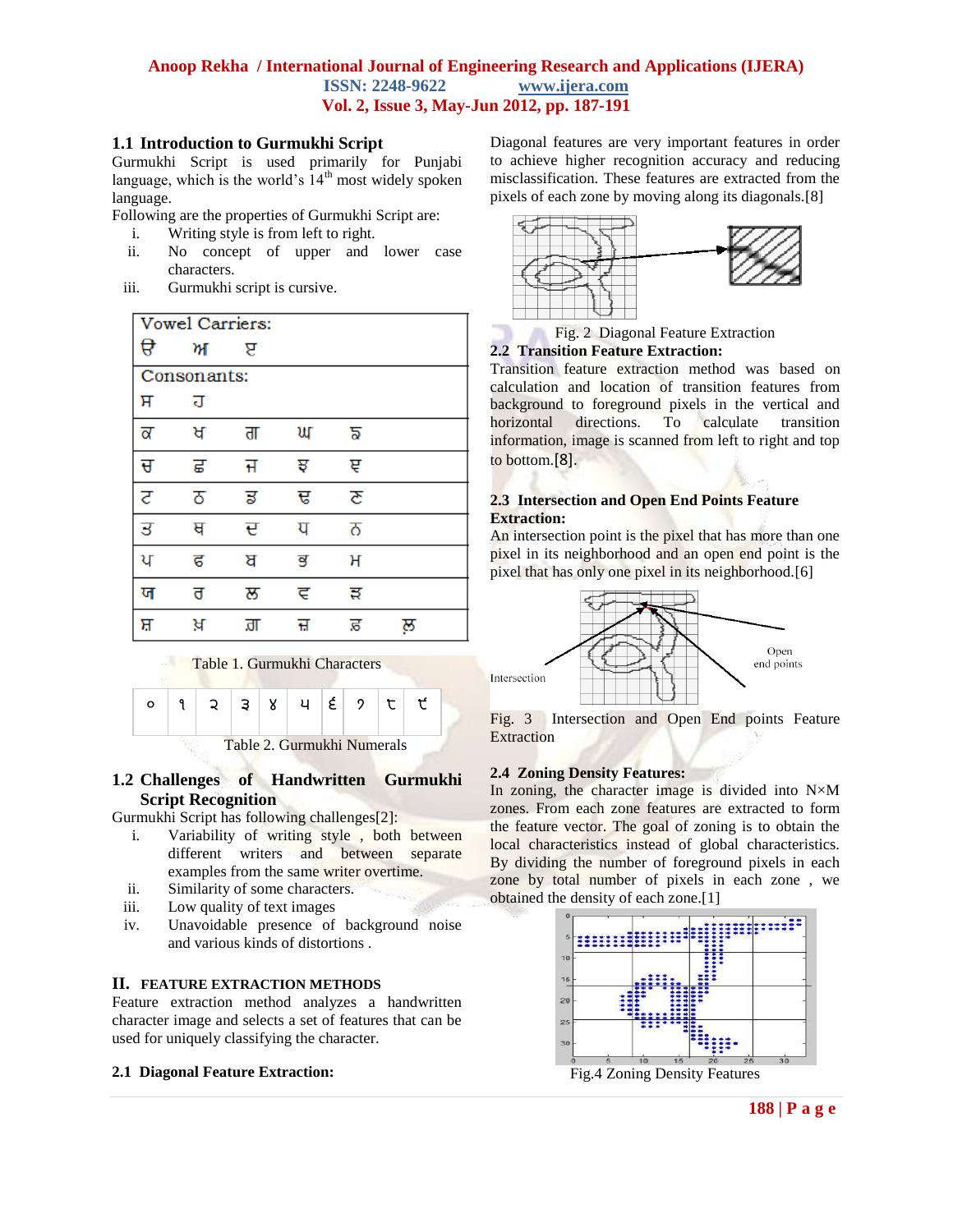# **1.1 Introduction to Gurmukhi Script**

Gurmukhi Script is used primarily for Punjabi language, which is the world's  $14<sup>th</sup>$  most widely spoken language.

Following are the properties of Gurmukhi Script are:

- i. Writing style is from left to right.
- ii. No concept of upper and lower case characters.
- iii. Gurmukhi script is cursive.







# **1.2 Challenges of Handwritten Gurmukhi Script Recognition**

Gurmukhi Script has following challenges[2]:

- i. Variability of writing style , both between different writers and between separate examples from the same writer overtime.
- ii. Similarity of some characters.
- iii. Low quality of text images
- iv. Unavoidable presence of background noise and various kinds of distortions .

## **II. FEATURE EXTRACTION METHODS**

Feature extraction method analyzes a handwritten character image and selects a set of features that can be used for uniquely classifying the character.

## **2.1 Diagonal Feature Extraction:**

Diagonal features are very important features in order to achieve higher recognition accuracy and reducing misclassification. These features are extracted from the pixels of each zone by moving along its diagonals.[8]





Transition feature extraction method was based on calculation and location of transition features from background to foreground pixels in the vertical and horizontal directions. To calculate transition information, image is scanned from left to right and top to bottom.[8].

# **2.3 Intersection and Open End Points Feature Extraction:**

An intersection point is the pixel that has more than one pixel in its neighborhood and an open end point is the pixel that has only one pixel in its neighborhood.[6]



Fig. 3 Intersection and Open End points Feature **Extraction** 

# **2.4 Zoning Density Features:**

In zoning, the character image is divided into  $N \times M$ zones. From each zone features are extracted to form the feature vector. The goal of zoning is to obtain the local characteristics instead of global characteristics. By dividing the number of foreground pixels in each zone by total number of pixels in each zone , we obtained the density of each zone.[1]

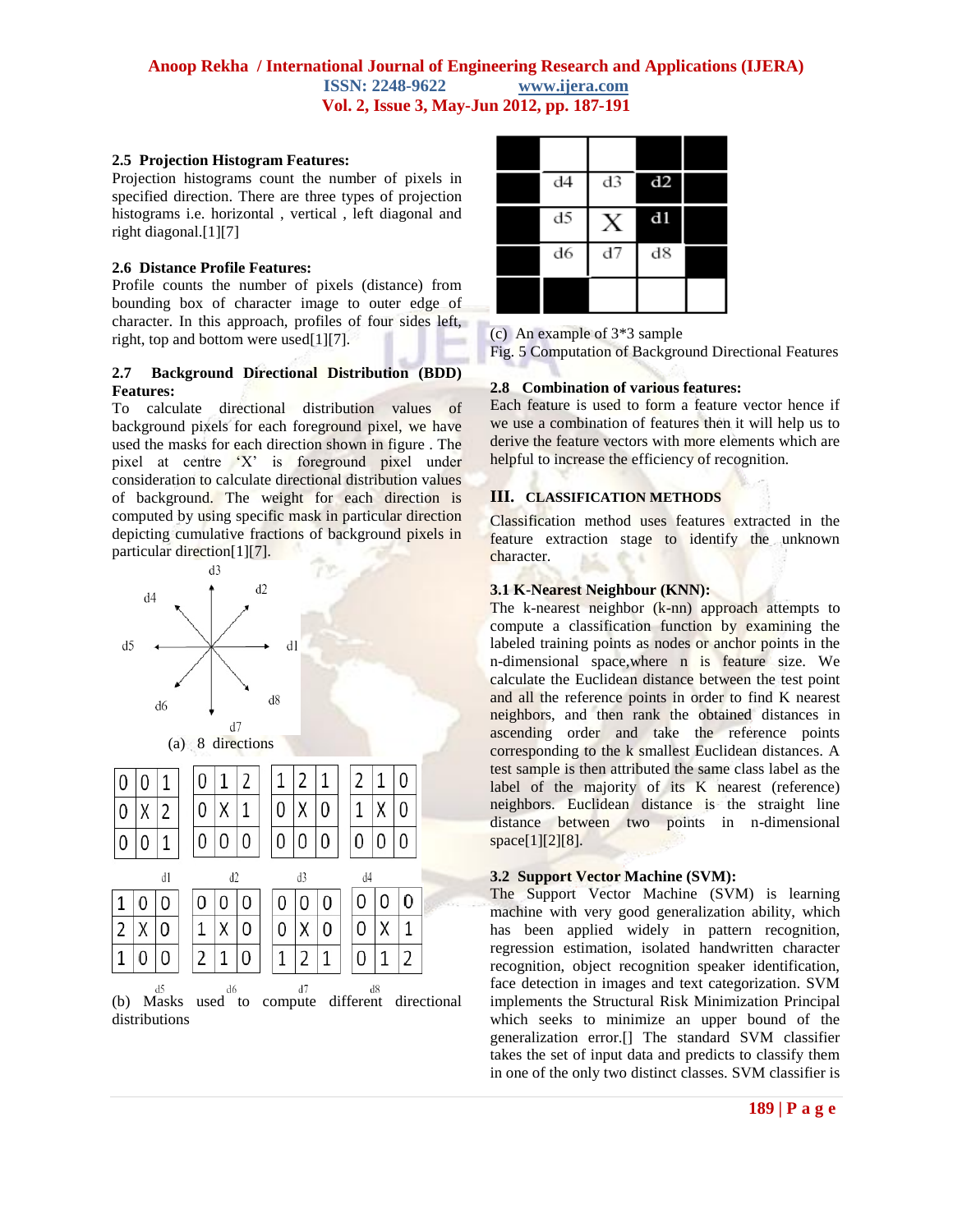## **2.5 Projection Histogram Features:**

Projection histograms count the number of pixels in specified direction. There are three types of projection histograms i.e. horizontal , vertical , left diagonal and right diagonal.[1][7]

## **2.6 Distance Profile Features:**

Profile counts the number of pixels (distance) from bounding box of character image to outer edge of character. In this approach, profiles of four sides left, right, top and bottom were used[1][7].

## **2.7 Background Directional Distribution (BDD) Features:**

To calculate directional distribution values of background pixels for each foreground pixel, we have used the masks for each direction shown in figure . The pixel at centre 'X' is foreground pixel under consideration to calculate directional distribution values of background. The weight for each direction is computed by using specific mask in particular direction depicting cumulative fractions of background pixels in particular direction[1][7].



(b) Masks used to compute different directional distributions

| d4 | d3 | d2   |  |
|----|----|------|--|
| d5 |    | $d1$ |  |
| d6 | d7 | d8   |  |
|    |    |      |  |

(c) An example of 3\*3 sample

Fig. 5 Computation of Background Directional Features

## **2.8 Combination of various features:**

Each feature is used to form a feature vector hence if we use a combination of features then it will help us to derive the feature vectors with more elements which are helpful to increase the efficiency of recognition.

# **III. CLASSIFICATION METHODS**

Classification method uses features extracted in the feature extraction stage to identify the unknown character.

# **3.1 K-Nearest Neighbour (KNN):**

The k-nearest neighbor (k-nn) approach attempts to compute a classification function by examining the labeled training points as nodes or anchor points in the n-dimensional space,where n is feature size. We calculate the Euclidean distance between the test point and all the reference points in order to find K nearest neighbors, and then rank the obtained distances in ascending order and take the reference points corresponding to the k smallest Euclidean distances. A test sample is then attributed the same class label as the label of the majority of its K nearest (reference) neighbors. Euclidean distance is the straight line distance between two points in n-dimensional space[1][2][8].

## **3.2 Support Vector Machine (SVM):**

The Support Vector Machine (SVM) is learning machine with very good generalization ability, which has been applied widely in pattern recognition, regression estimation, isolated handwritten character recognition, object recognition speaker identification, face detection in images and text categorization. SVM implements the Structural Risk Minimization Principal which seeks to minimize an upper bound of the generalization error.[] The standard SVM classifier takes the set of input data and predicts to classify them in one of the only two distinct classes. SVM classifier is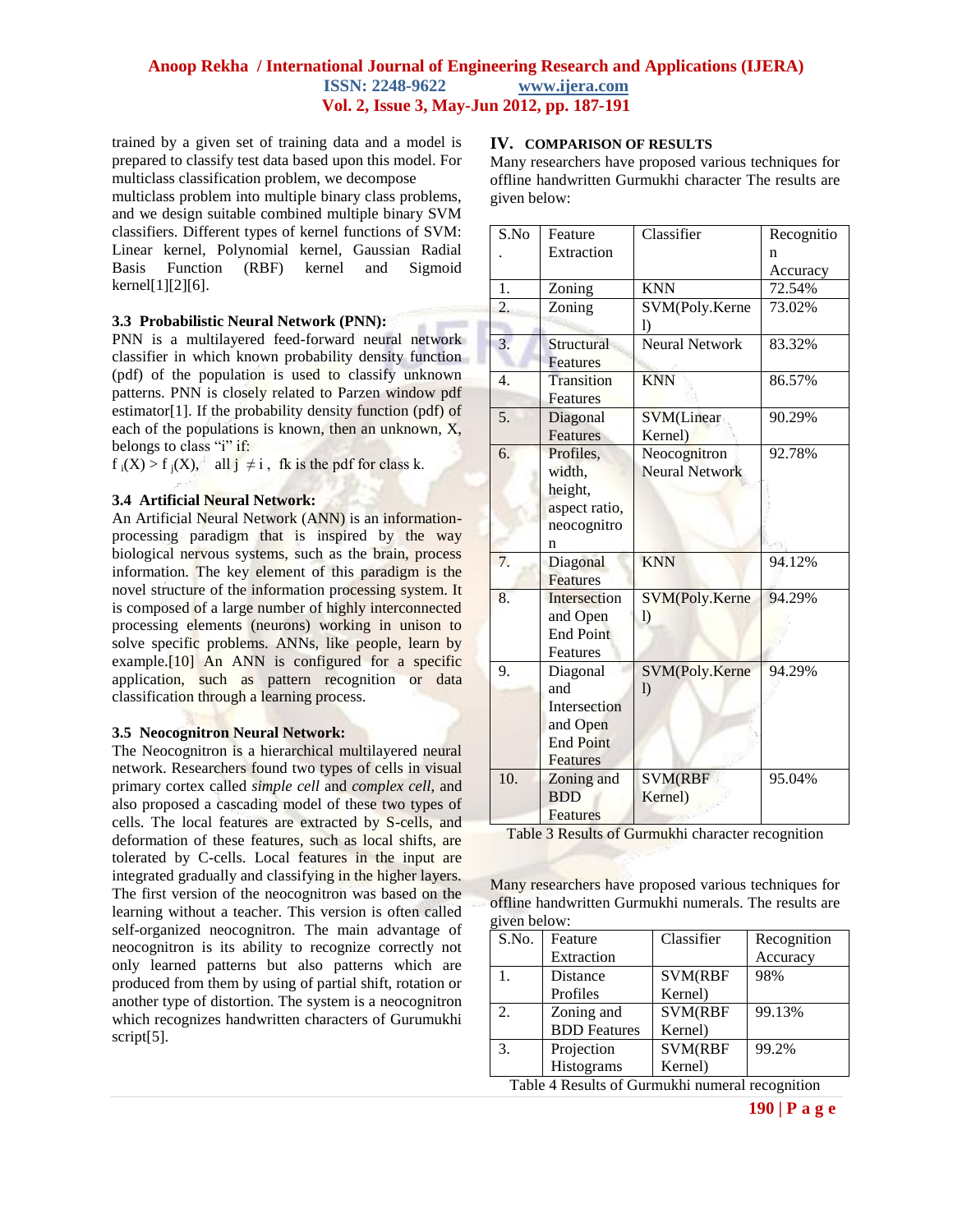trained by a given set of training data and a model is prepared to classify test data based upon this model. For multiclass classification problem, we decompose

multiclass problem into multiple binary class problems, and we design suitable combined multiple binary SVM classifiers. Different types of kernel functions of SVM: Linear kernel, Polynomial kernel, Gaussian Radial Basis Function (RBF) kernel and Sigmoid kernel[1][2][6].

## **3.3 Probabilistic Neural Network (PNN):**

PNN is a multilayered feed-forward neural network classifier in which known probability density function (pdf) of the population is used to classify unknown patterns. PNN is closely related to Parzen window pdf estimator[1]. If the probability density function (pdf) of each of the populations is known, then an unknown, X, belongs to class "i" if:

 $f_i(X) > f_i(X)$ , all  $j \neq i$ , fk is the pdf for class k.

## **3.4 Artificial Neural Network:**

An Artificial Neural Network (ANN) is an informationprocessing paradigm that is inspired by the way biological nervous systems, such as the brain, process information. The key element of this paradigm is the novel structure of the information processing system. It is composed of a large number of highly interconnected processing elements (neurons) working in unison to solve specific problems. ANNs, like people, learn by example.[10] An ANN is configured for a specific application, such as pattern recognition or data classification through a learning process.

#### **3.5 Neocognitron Neural Network:**

The Neocognitron is a hierarchical multilayered neural network. Researchers found two types of cells in visual primary cortex called *simple cell* and *complex cell*, and also proposed a cascading model of these two types of cells. The local features are extracted by S-cells, and deformation of these features, such as local shifts, are tolerated by C-cells. Local features in the input are integrated gradually and classifying in the higher layers. The first version of the neocognitron was based on the learning without a teacher. This version is often called self-organized neocognitron. The main advantage of neocognitron is its ability to recognize correctly not only learned patterns but also patterns which are produced from them by using of partial shift, rotation or another type of distortion. The system is a neocognitron which recognizes handwritten characters of Gurumukhi script<sup>[5]</sup>.

## **IV. COMPARISON OF RESULTS**

Many researchers have proposed various techniques for offline handwritten Gurmukhi character The results are given below:

| S.No             | Feature          | $\overline{\text{Classifier}}$ | Recognitio |
|------------------|------------------|--------------------------------|------------|
|                  | Extraction       |                                | n          |
|                  |                  |                                | Accuracy   |
| 1.               | Zoning           | <b>KNN</b>                     | 72.54%     |
| $\overline{2}$ . | Zoning           | SVM(Poly.Kerne                 | 73.02%     |
|                  |                  | 1)                             |            |
| 3.               | Structural       | <b>Neural Network</b>          | 83.32%     |
|                  | Features         |                                |            |
| $\overline{4}$ . | Transition       | <b>KNN</b>                     | 86.57%     |
|                  | Features         |                                |            |
| 5.               | Diagonal         | <b>SVM</b> (Linear             | 90.29%     |
|                  | Features         | Kernel)                        |            |
| 6.               | Profiles.        | Neocognitron                   | 92.78%     |
|                  | width,           | <b>Neural Network</b>          |            |
|                  | height,          |                                |            |
|                  | aspect ratio,    |                                |            |
|                  | neocognitro      |                                |            |
|                  | n                |                                |            |
| 7.               | Diagonal         | <b>KNN</b>                     | 94.12%     |
|                  | <b>Features</b>  |                                |            |
| 8.               | Intersection     | SVM(Poly.Kerne                 | 94.29%     |
|                  | and Open         | 1)                             |            |
|                  | <b>End Point</b> |                                |            |
|                  | Features         |                                |            |
| 9.               | Diagonal         | SVM(Poly.Kerne                 | 94.29%     |
|                  | and              | $\mathbf{I}$                   |            |
|                  | Intersection     |                                |            |
|                  | and Open         |                                |            |
|                  | <b>End Point</b> |                                |            |
|                  | <b>Features</b>  |                                |            |
| 10.              | Zoning and       | <b>SVM(RBF</b>                 | 95.04%     |
|                  | <b>BDD</b>       | Kernel)                        |            |
|                  | <b>Features</b>  |                                |            |

Table 3 Results of Gurmukhi character recognition

Many researchers have proposed various techniques for offline handwritten Gurmukhi numerals. The results are given below:

| Feature             | Classifier     | Recognition |
|---------------------|----------------|-------------|
| Extraction          |                | Accuracy    |
| Distance            | <b>SVM(RBF</b> | 98%         |
| Profiles            | Kernel)        |             |
| Zoning and          | SVM(RBF        | 99.13%      |
| <b>BDD</b> Features | Kernel)        |             |
| Projection          | SVM(RBF        | 99.2%       |
| Histograms          | Kernel)        |             |
|                     |                |             |

Table 4 Results of Gurmukhi numeral recognition